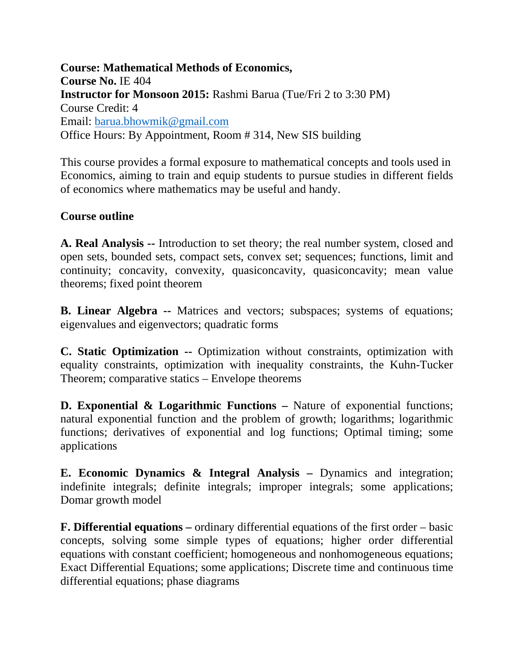**Course: Mathematical Methods of Economics, Course No.** IE 404 **Instructor for Monsoon 2015:** Rashmi Barua (Tue/Fri 2 to 3:30 PM) Course Credit: 4 Email: [barua.bhowmik@gmail.com](mailto:barua.bhowmik@gmail.com) Office Hours: By Appointment, Room # 314, New SIS building

This course provides a formal exposure to mathematical concepts and tools used in Economics, aiming to train and equip students to pursue studies in different fields of economics where mathematics may be useful and handy.

## **Course outline**

**A. Real Analysis --** Introduction to set theory; the real number system, closed and open sets, bounded sets, compact sets, convex set; sequences; functions, limit and continuity; concavity, convexity, quasiconcavity, quasiconcavity; mean value theorems; fixed point theorem

**B. Linear Algebra --** Matrices and vectors; subspaces; systems of equations; eigenvalues and eigenvectors; quadratic forms

**C. Static Optimization --** Optimization without constraints, optimization with equality constraints, optimization with inequality constraints, the Kuhn-Tucker Theorem; comparative statics – Envelope theorems

**D. Exponential & Logarithmic Functions –** Nature of exponential functions; natural exponential function and the problem of growth; logarithms; logarithmic functions; derivatives of exponential and log functions; Optimal timing; some applications

**E. Economic Dynamics & Integral Analysis –** Dynamics and integration; indefinite integrals; definite integrals; improper integrals; some applications; Domar growth model

**F. Differential equations –** ordinary differential equations of the first order – basic concepts, solving some simple types of equations; higher order differential equations with constant coefficient; homogeneous and nonhomogeneous equations; Exact Differential Equations; some applications; Discrete time and continuous time differential equations; phase diagrams